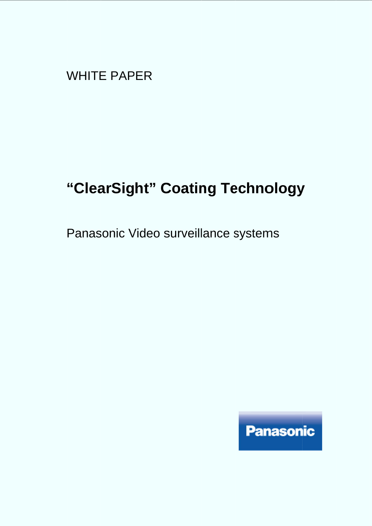WHITE PAPER

# **"ClearSight" Coating Technology**

Panasonic Video surveillance systems

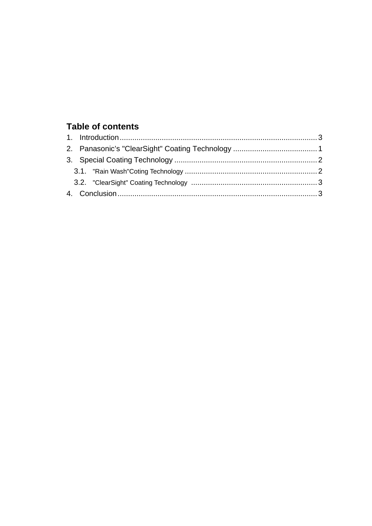### **Table of contents**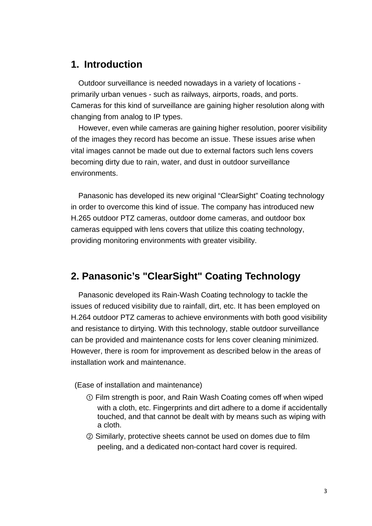### **1. Introduction**

Outdoor surveillance is needed nowadays in a variety of locations primarily urban venues - such as railways, airports, roads, and ports. Cameras for this kind of surveillance are gaining higher resolution along with changing from analog to IP types.

However, even while cameras are gaining higher resolution, poorer visibility of the images they record has become an issue. These issues arise when vital images cannot be made out due to external factors such lens covers becoming dirty due to rain, water, and dust in outdoor surveillance environments.

Panasonic has developed its new original "ClearSight" Coating technology in order to overcome this kind of issue. The company has introduced new H.265 outdoor PTZ cameras, outdoor dome cameras, and outdoor box cameras equipped with lens covers that utilize this coating technology, providing monitoring environments with greater visibility.

### **2. Panasonic's "ClearSight" Coating Technology**

Panasonic developed its Rain-Wash Coating technology to tackle the issues of reduced visibility due to rainfall, dirt, etc. It has been employed on H.264 outdoor PTZ cameras to achieve environments with both good visibility and resistance to dirtying. With this technology, stable outdoor surveillance can be provided and maintenance costs for lens cover cleaning minimized. However, there is room for improvement as described below in the areas of installation work and maintenance.

(Ease of installation and maintenance)

- ① Film strength is poor, and Rain Wash Coating comes off when wiped with a cloth, etc. Fingerprints and dirt adhere to a dome if accidentally touched, and that cannot be dealt with by means such as wiping with a cloth.
- ② Similarly, protective sheets cannot be used on domes due to film peeling, and a dedicated non-contact hard cover is required.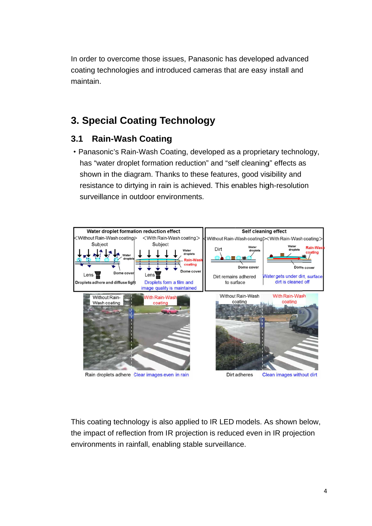In order to overcome those issues, Panasonic has developed In order to overcome those issues, Panasonic has developed advance<br>coating technologies and introduced cameras that are easy install and maintain.

## **3. Special Coating Special Coating Technology Technology**

#### **3.1 Rain Rain-Wash Coating Wash Coating**

• Panasonic's Rain-Wash Coating, developed as a proprietary technology, has "water droplet formation reduction" and "self cleaning" effects as has "water droplet formation reduction" and "self cleaning" effects<br>shown in the diagram. Thanks to these features, good visibility an resistance to dirtying in rain is achieved. This enables high-resolution surveillance in outdoor environments. introduced cameras that are easy install and<br> **| Technology**<br>
t**ing**<br>
n Coating, developed as a proprietary technology,<br>
ation reduction" and "self cleaning" effects as<br>
Thanks to these features, good visibility and cameras that are easy install and<br>**Ology**<br>developed as a proprietary technolo<br>ction" and "self cleaning" effects as<br>these features, good visibility and<br>nieved. This enables high-resolution



This coating technology is also applied to IR LED models. As shown below, This coating technology is also applied to IR LED models. As shown below<br>the impact of reflection from IR projection is reduced even in IR projection environments in rainfall, enabling stable surveillance. in rainfall, enabling stable surveillance.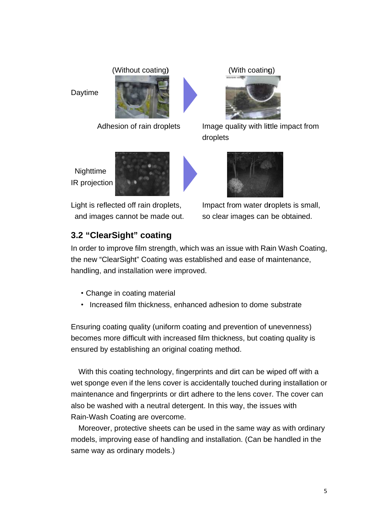#### (Without coating)

Daytime



Adhesion of rain droplets

**Nighttime** IR projection



Light is reflected off rain droplets, and images cannot be made out. (With coating)



Image quality with little impact from droplets



Impact from water droplets mpact from water droplets so clear images can be obtained.

### **3.2 "ClearSight" coating "ClearSight" coating3.2 coating**

In order to improve film strength, which was an issue with Rain Wash Coating, the new "ClearSight" Coating was established and<br>handling, and installation were improved.<br>• Change in coating material handling, and installation were improved. In order to improve film strength, which was an issue with Rain Wash Coar<br>the new "ClearSight" Coating was established and ease of maintenance,<br>handling, and installation were improved.<br>• Change in coating material<br>• Incre rder to improve film strength, which was an issue with Rain Wash Coa<br>new "ClearSight" Coating was established and ease of maintenance,

- ・Change in coating material
- 

Ensuring coating quality (uniform coating and prevention of unevenness) Ensuring coating quality (uniform coating and prevention of unevenness)<br>becomes more difficult with increased film thickness, but coating quality is ensured by establishing an original coating method. ase of maintenance,<br>
o dome substrate<br>
ntion of unevenness)<br>
, but coating quality is<br>
can be wiped off with a<br>
ched during installation or

With this coating technology, fingerprints and dirt can be wiped off with a With this coating technology, fingerprints and dirt can be wiped off<br>wet sponge even if the lens cover is accidentally touched during insta maintenance and fingerprints or dirt adhere to the lens cover. The cover can<br>also be washed with a neutral detergent. In this way, the issues with also be washed with a neutral detergent. In this way, the issues with Rain-Wash Coating are overcome. ensured by establishing an original coating method.<br>With this coating technology, fingerprints and dirt can be wiped off with a<br>wet sponge even if the lens cover is accidentally touched during installation o<br>maintenance an Without coating)<br>
Maylime<br>
Adhesion of rain droplets<br>
Image quality with little<br>
Image quality with little<br>
In projection<br>
IIghttime<br>
IR projection<br>
IIghttime<br>
IR projection<br>
3.2 "ClearSight" Coating<br>
In order to improve f cover is accidentally touched during installation Adhesion of rain droplets<br>
Image quality with little impact from<br>
droplets<br>
Nighttime<br>
IR projection<br>
Light is reflected off rain droplets,<br>
Impact from water droplets is small,<br>
and images cannot be made out.<br>
So clear im

Moreover, protective sheets can be used in the same way as with ordinary models, improving ease of handling and installation. (Can be handled same way as ordinary models.) Wash Coating are overcome.<br>reover, protective sheets can be used in the same way a<br>ls, improving ease of handling and installation. (Can be<br>way as ordinary models.) ed in the same way as with ordinary<br>installation. (Can be handled in the